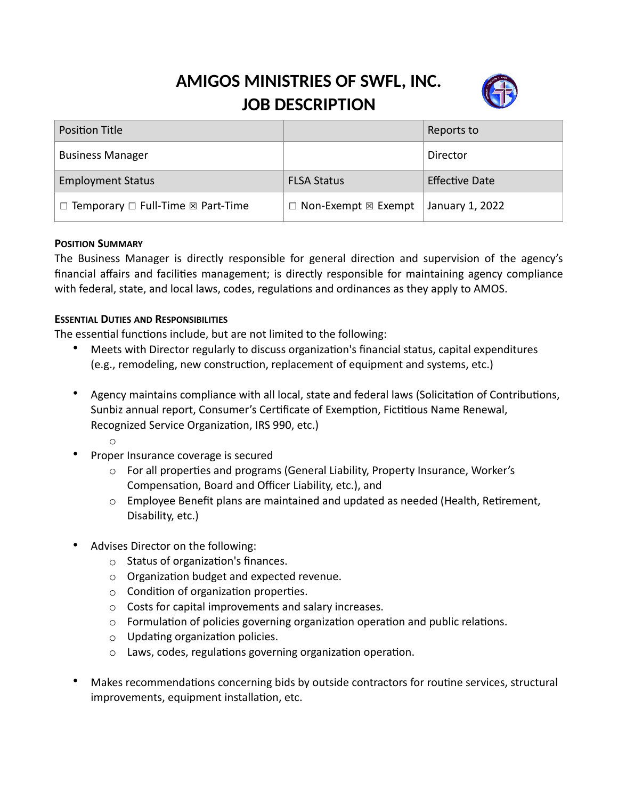# **AMIGOS MINISTRIES OF SWFL, INC. JOB DESCRIPTION**



| <b>Position Title</b>                                   |                                      | Reports to            |
|---------------------------------------------------------|--------------------------------------|-----------------------|
| <b>Business Manager</b>                                 |                                      | Director              |
| <b>Employment Status</b>                                | <b>FLSA Status</b>                   | <b>Effective Date</b> |
| $\Box$ Temporary $\Box$ Full-Time $\boxtimes$ Part-Time | $\Box$ Non-Exempt $\boxtimes$ Exempt | January 1, 2022       |

#### **POSITION SUMMARY**

The Business Manager is directly responsible for general direction and supervision of the agency's financial affairs and facilities management; is directly responsible for maintaining agency compliance with federal, state, and local laws, codes, regulations and ordinances as they apply to AMOS.

#### **ESSENTIAL DUTIES AND RESPONSIBILITIES**

The essential functions include, but are not limited to the following:

- Meets with Director regularly to discuss organization's financial status, capital expenditures (e.g., remodeling, new construction, replacement of equipment and systems, etc.)
- Agency maintains compliance with all local, state and federal laws (Solicitation of Contributions, Sunbiz annual report, Consumer's Certificate of Exemption, Fictitious Name Renewal, Recognized Service Organization, IRS 990, etc.)
	- o
	- Proper Insurance coverage is secured
		- o For all properties and programs (General Liability, Property Insurance, Worker's Compensation, Board and Officer Liability, etc.), and
		- o Employee Benefit plans are maintained and updated as needed (Health, Retirement, Disability, etc.)
- Advises Director on the following:
	- o Status of organization's finances.
	- o Organization budget and expected revenue.
	- o Condition of organization properties.
	- o Costs for capital improvements and salary increases.
	- $\circ$  Formulation of policies governing organization operation and public relations.
	- o Updating organization policies.
	- o Laws, codes, regulations governing organization operation.
- Makes recommendations concerning bids by outside contractors for routine services, structural improvements, equipment installation, etc.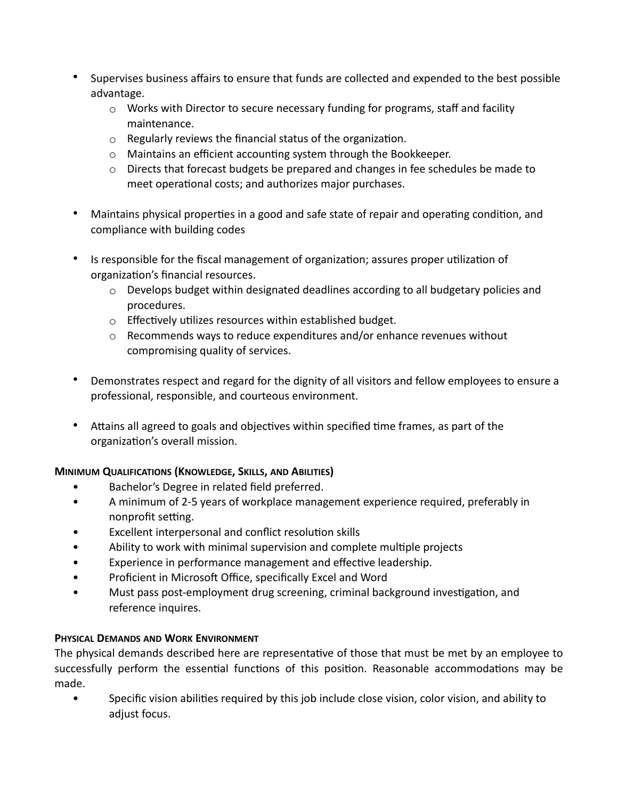- Supervises business affairs to ensure that funds are collected and expended to the best possible advantage.
	- $\circ$  Works with Director to secure necessary funding for programs, staff and facility maintenance.
	- o Regularly reviews the financial status of the organization.
	- o Maintains an efficient accounting system through the Bookkeeper.
	- $\circ$  Directs that forecast budgets be prepared and changes in fee schedules be made to meet operational costs; and authorizes major purchases.
- Maintains physical properties in a good and safe state of repair and operating condition, and compliance with building codes
- Is responsible for the fiscal management of organization; assures proper utilization of organization's financial resources.
	- $\circ$  Develops budget within designated deadlines according to all budgetary policies and procedures.
	- o Effectively utilizes resources within established budget.
	- $\circ$  Recommends ways to reduce expenditures and/or enhance revenues without compromising quality of services.
- Demonstrates respect and regard for the dignity of all visitors and fellow employees to ensure a professional, responsible, and courteous environment.
- Attains all agreed to goals and objectives within specified time frames, as part of the organization's overall mission.

## **MINIMUM QUALIFICATIONS (KNOWLEDGE, SKILLS, AND ABILITIES)**

- Bachelor's Degree in related field preferred.
- A minimum of 2-5 years of workplace management experience required, preferably in nonprofit setting.
- Excellent interpersonal and conflict resolution skills
- Ability to work with minimal supervision and complete multiple projects
- Experience in performance management and effective leadership.
- Proficient in Microsoft Office, specifically Excel and Word
- Must pass post-employment drug screening, criminal background investigation, and reference inquires.

## **PHYSICAL DEMANDS AND WORK ENVIRONMENT**

The physical demands described here are representative of those that must be met by an employee to successfully perform the essential functions of this position. Reasonable accommodations may be made.

• Specific vision abilities required by this job include close vision, color vision, and ability to adjust focus.